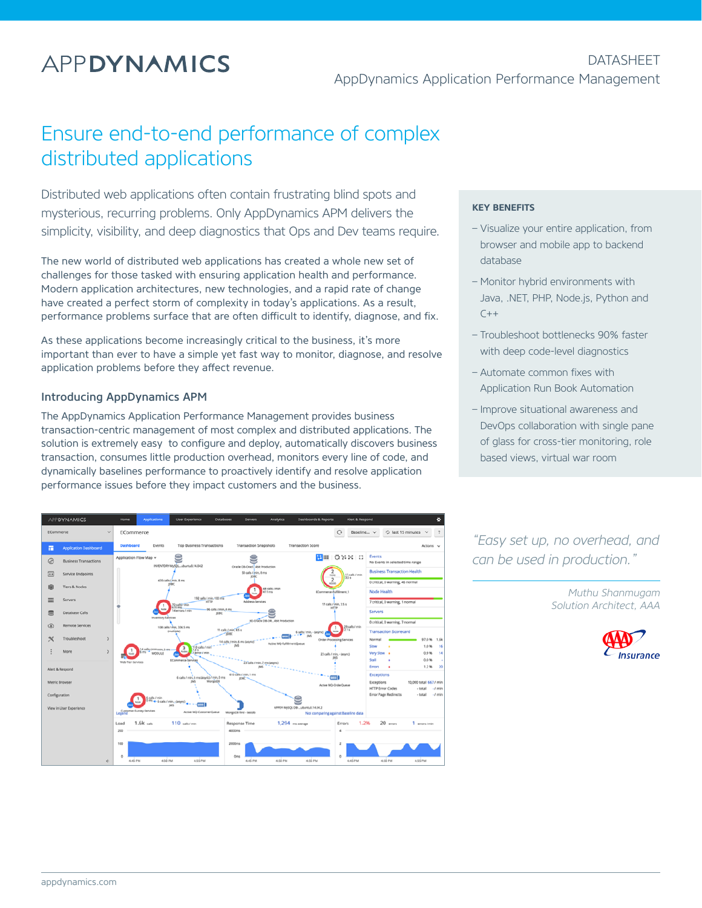# **APPDYNAMICS**

**DATASHEFT** AppDynamics Application Performance Management

## Ensure end-to-end performance of complex distributed applications

Distributed web applications often contain frustrating blind spots and mysterious, recurring problems. Only AppDynamics APM delivers the simplicity, visibility, and deep diagnostics that Ops and Dev teams require.

The new world of distributed web applications has created a whole new set of challenges for those tasked with ensuring application health and performance. Modern application architectures, new technologies, and a rapid rate of change have created a perfect storm of complexity in today's applications. As a result, performance problems surface that are often difficult to identify, diagnose, and fix.

As these applications become increasingly critical to the business, it's more important than ever to have a simple yet fast way to monitor, diagnose, and resolve application problems before they affect revenue.

#### Introducing AppDynamics APM

The AppDynamics Application Performance Management provides business transaction-centric management of most complex and distributed applications. The solution is extremely easy to configure and deploy, automatically discovers business transaction, consumes little production overhead, monitors every line of code, and dynamically baselines performance to proactively identify and resolve application performance issues before they impact customers and the business.



#### **KEY BENEFITS**

- Visualize your entire application, from browser and mobile app to backend database
- Monitor hybrid environments with Java, .NET, PHP, Node.js, Python and  $C++$
- Troubleshoot bottlenecks 90% faster with deep code-level diagnostics
- Automate common fixes with Application Run Book Automation
- Improve situational awareness and DevOps collaboration with single pane of glass for cross-tier monitoring, role based views, virtual war room

*"Easy set up, no overhead, and can be used in production."*

> *Muthu Shanmugam Solution Architect, AAA*